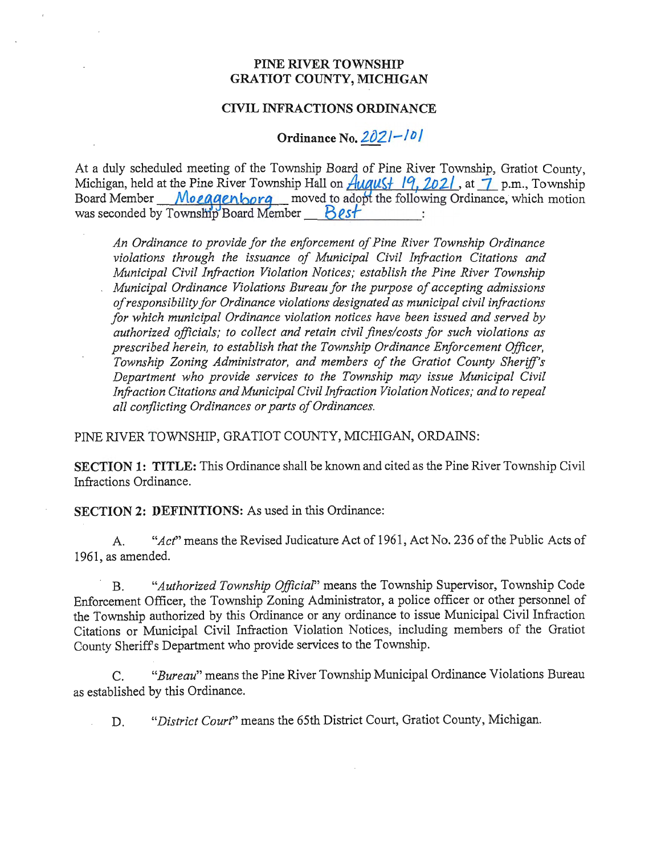### **PINE RIVER TOWNSHIP GRATIOT COUNTY, MICHIGAN**

### **CIVIL INFRACTIONS ORDINANCE**

**Ordinance No. 2021-101** 

At a duly scheduled meeting of the Township Board of Pine River Township, Gratiot County, Michigan, held at the Pine River Township Hall on *August 19, 2021*, at 7 p.m., Township Board Member *Mogagenborg* moved to adopt the following Ordinance, which motion was seconded by Township Board Member **Best** 

*An Ordinance to provide for the enforcement of Pine River Township Ordinance violations through the issuance of Municipal Civil Infraction Citations and Municipal Civil Infraction Violation Notices; establish the Pine River Township Municipal Ordinance Violations Bureau for the purpose of accepting admissions of responsibility for Ordinance violations designated as municipal civil infractions for which municipal Ordinance violation notices have been issued and served by authorized officials; to collect and retain civil fines/costs for such violations as prescribed herein, to establish that the Township Ordinance Enforcement Officer, Township Zoning Administrator, and members of the Gratiot County Sheriff's Department who provide services to the Township may issue Municipal Civil Infraction Citations and Municipal Civil Infraction Violation Notices; and to repeal all conflicting Ordinances or parts of Ordinances.* 

PINE RIVER TOWNSHIP, GRATIOT COUNTY, MICHIGAN, ORDAINS:

**SECTION 1: TITLE:** This Ordinance shall be known and cited as the Pine River Township Civil Infractions Ordinance.

**SECTION 2: DEFINITIONS:** As used in this Ordinance:

A. *"Act''* means the Revised Judicature Act of 1961, Act No. 236 of the Public Acts of 1961, as amended.

B. *"Authorized Township Official"* means the Township Supervisor, Township Code Enforcement Officer, the Township Zoning Admipistrator, a police officer or other personnel of the Township authorized by this Ordinance or any ordinance to issue Municipal Civil Infraction Citations or Municipal Civil Infraction Violation Notices, including members of the Gratiot County Sheriffs Department who provide services to the Township.

C. *"Bureau"* means the Pine River Township Municipal Ordinance Violations Bureau as established by this Ordinance.

D. *"District Court"* means the 65th District Court, Gratiot County, Michigan.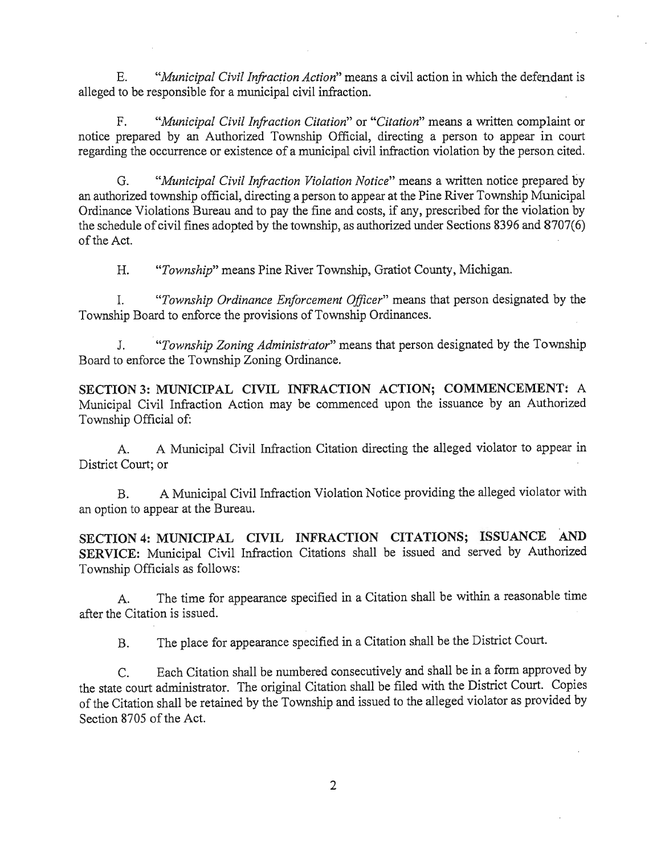E. *"Municipal Civil Infraction Action"* means a civil action in which the defendant is alleged to be responsible for a municipal civil infraction.

F. *"Municipal Civil Infraction Citation"* or *"Citation"* means a written complaint or notice prepared by an Authorized Township Official, directing a person to appear in court regarding the occurrence or existence of a municipal civil infraction violation by the person cited.

G. *"Municipal Civil Infraction Violation Notice"* means a written notice prepared by an authorized township official, directing a person to appear at the Pine River Township Municipal Ordinance Violations Bureau and to pay the fine and costs, if any, prescribed for the violation by the schedule of civil fines adopted by the township, as authorized under Sections 8396 and 8707(6) of the Act.

i-I. *"Township"* means Pine River Township, Gratiot County, Michigan.

I. *"Township Ordinance Enforcement Officer"* means that person designated by the Township Board to enforce the provisions of Township Ordinances.

J. *"Township Zoning Administrator"* means that person designated by the Township Board to enforce the Township Zoning Ordinance.

**SECTION 3: MUNICIPAL CIVIL INFRACTION ACTION; COMMENCEMENT:** A Municipal Civil Infraction Action may be commenced upon the issuance by an Authorized Township Official of:

A. A Municipal Civil Infraction Citation directing the alleged violator to appear in District Court; or

B. A Municipal Civil Infraction Violation Notice providing the alleged violator with an option to appear at the Bureau.

**SECTION 4: MUNICIPAL CIVIL INFRACTION CITATIONS; ISSUANCE AND SERVICE:** Municipal Civil Infraction Citations shall be issued and served by Authorized Township Officials as follows:

A. The time for appearance specified in a Citation shall be within a reasonable time after the Citation is issued.

B. The place for appearance specified in a Citation shall be the District Court.

C. Each Citation shall be numbered consecutively and shall be in a form approved by the state court administrator. The original Citation shall be filed with the District Court. Copies of the Citation shall be retained by the Township and issued to the alleged violator as provided by Section 8705 of the Act.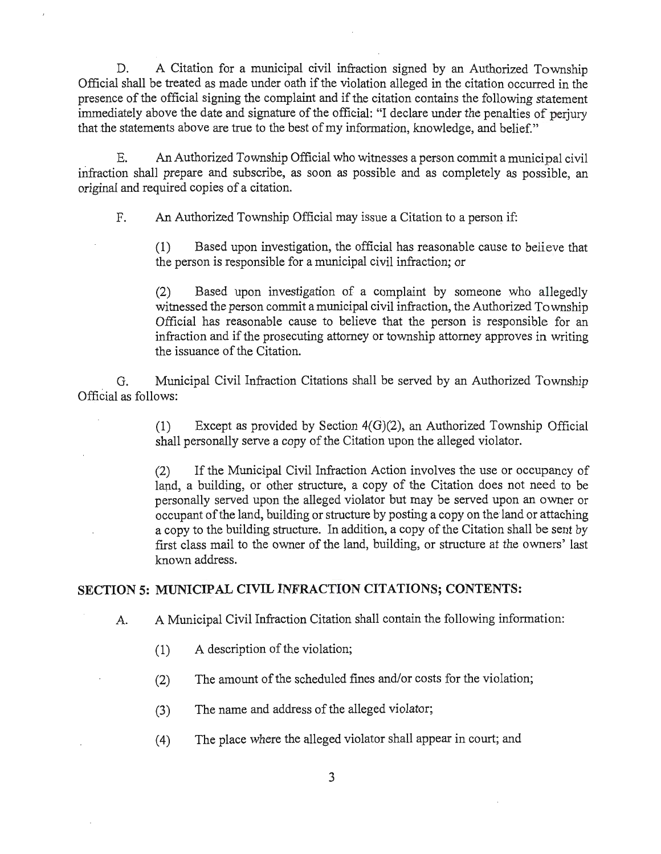D. A Citation for a municipal civil infraction signed by an Authorized Township Official shall be treated as made under oath if the violation alleged in the citation occurred in the presence of the official signing the complaint and if the citation contains the following statement immediately above the date and signature of the official: "I declare under the penalties of perjury that the statements above are true to the best of my information, knowledge, and belief."

E. An Authorized Township Official who witnesses a person commit a municipal civil infraction shall prepare and subscribe, as soon as possible and as completely as possible, an original and required copies of a citation.

F. An Authorized Township Official may issue a Citation to a person if:

(1) Based upon investigation, the official has reasonable cause to believe that the person is responsible for a municipal civil infraction; or

(2) Based upon investigation of a complaint by someone who allegedly witnessed the person commit a municipal civil infraction, the Authorized Township Official has reasonable cause to believe that the person is responsible for an infraction and if the prosecuting attorney or township attorney approves in writing the issuance of the Citation.

G. Municipal Civil Infraction Citations shall be served by an Authorized Township Official as follows:

> **(1)** Except as provided by Section 4(G)(2), an Authorized Township Official shall personally serve a copy of the Citation upon the alleged violator.

> (2) If the Municipal Civil Infraction Action involves the use or occupancy of land, a building, or other structure, a copy of the Citation does not need to be personally served upon the alleged violator but may be served upon an owner or occupant of the land, building or structure by posting a copy on the land or attaching a copy to the building structure. In addition, a copy of the Citation shall be sent by first class mail to the owner of the land, building, or structure at the owners' last known address.

# **SECTION 5: MUNICIPAL CIVIL INFRACTION CITATIONS; CONTENTS:**

A. A Municipal Civil Infraction Citation shall contain the following information:

- (1) A description of the violation;
- (2) The amount of the scheduled fines and/or costs for the violation;
- (3) The name and address of the alleged violator;
- (4) The place where the alleged violator shall appear in court; and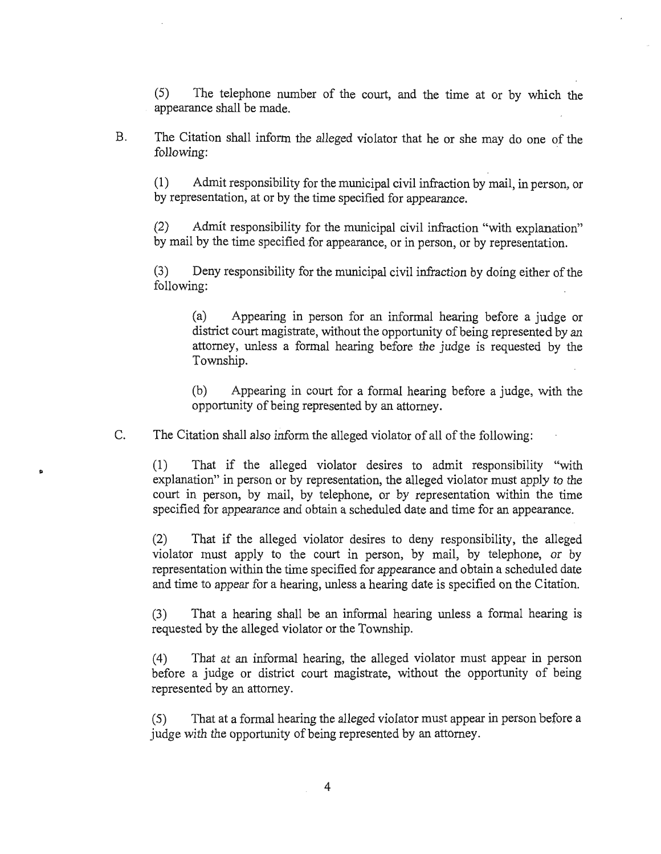(5) The telephone number of the court, and the time at or by which the appearance shall be made.

B. The Citation shall inform the alleged violator that he or she may do one of the following:

(1) Admit responsibility for the municipal civil infraction by mail, in person, or by representation, at or by the time specified for appearance.

(2) Admit responsibility for the municipal civil infraction "with explanation" by mail by the time specified for appearance, or in person, or by representation.

(3) Deny responsibility for the municipal civil infraction by doing either of the following:

(a) Appearing in person for an informal hearing before a judge or district court magistrate, without the opportunity of being represented by an attorney, unless a formal hearing before the judge is requested by the Township.

(b) Appearing in court for a formal hearing before a judge, with the opportunity of being represented by an attorney.

C. The Citation shall also inform the alleged violator of all of the following:

Þ

(1) That if the alleged violator desires to admit responsibility "with explanation" in person or by representation, the alleged violator must apply to the court in person, by mail, by telephone, or by representation within the time specified for appearance and obtain a scheduled date and time for an appearance.

(2) That if the alleged violator desires to deny responsibility, the alleged violator must apply to the court in person, by mail, by telephone, or by representation within the time specified for appearance and obtain a scheduled date and time to appear for a hearing, unless a hearing date is specified on the Citation.

(3) That a hearing shall be an informal hearing unless a formal hearing is requested by the alleged violator or the Township.

(4) That at an informal hearing, the alleged violator must appear in person before a judge or district court magistrate, without the opportunity of being represented by an attorney.

(5) That at a formal hearing the alleged violator must appear in person before a judge with the opportunity of being represented by an attorney.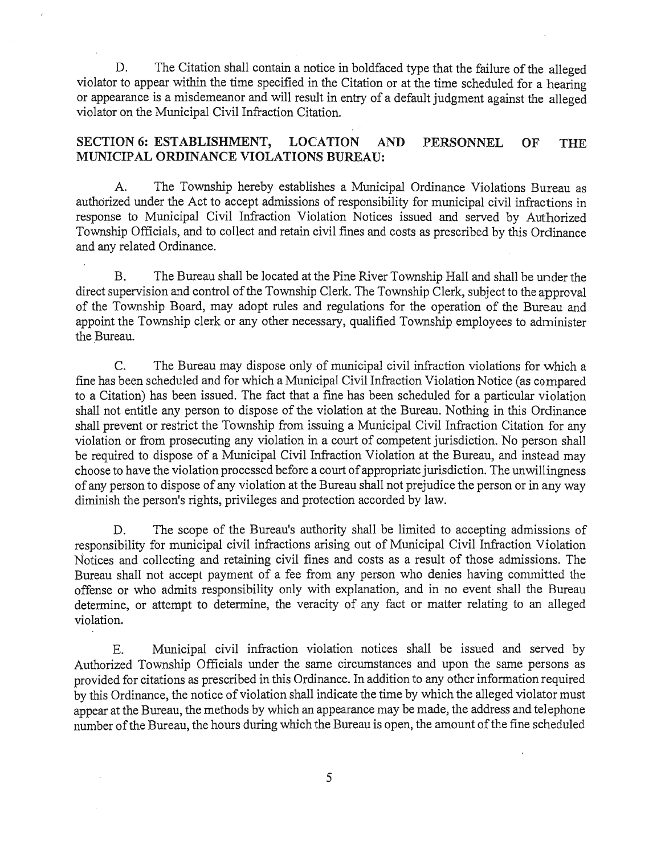D. The Citation shall contain a notice in boldfaced type that the failure of the alleged violator to appear within the time specified in the Citation or at the time scheduled for a hearing or appearance is a misdemeanor and will result in entry of a default judgment against the alleged violator on the Municipal Civil Infraction Citation.

# **SECTION 6: ESTABLISHMENT, LOCATION AND PERSONNEL OF THE MUNICIPAL ORDINANCE VIOLATIONS BUREAU:**

A. The Township hereby establishes a Municipal Ordinance Violations Bureau as authorized under the Act to accept admissions of responsibility for municipal civil infractions in response to Municipal Civil Infraction Violation Notices issued and served by Authorized Township Officials, and to collect and retain civil fines and costs as prescribed by this Ordinance and any related Ordinance.

B. The Bureau shall be located at the Pine River Township Hall and shall be under the direct supervision and control of the Township Clerk. The Township Clerk, subject to the approval of the Township Board, may adopt rules and regulations for the operation of the Bureau and appoint the Township clerk or any other necessary, qualified Township employees to administer the Bureau.

C. The Bureau may dispose only of municipal civil infraction violations for which a fine has been scheduled and for which a Municipal Civil Infraction Violation Notice (as compared to a Citation) has been issued. The fact that a fine has been scheduled for a particular violation shall not entitle any person to dispose of the violation at the Bureau. Nothing in this Ordinance shall prevent or restrict the Township from issuing a Municipal Civil Infraction Citation for any violation or from prosecuting any violation in a court of competent jurisdiction. No person shall be required to dispose of a Municipal Civil Infraction Violation at the Bureau, and instead may choose to have the violation processed before a court of appropriate jurisdiction. The unwillingness of any person to dispose of any violation at the Bureau shall not prejudice the person or in any way diminish the person's rights, privileges and protection accorded by law.

D. The scope of the Bureau's authority shall be limited to accepting admissions of responsibility for municipal civil infractions arising out of Municipal Civil Infraction Violation Notices and collecting and retaining civil fines and costs as a result of those admissions. The Bureau shall not accept payment of a fee from any person who denies having committed the offense or who admits responsibility only with explanation, and in no event shall the Bureau determine, or attempt to determine, the veracity of any fact or matter relating to an alleged violation.

E. Municipal civil infraction violation notices shall be issued and served by Authorized Township Officials under the same circumstances and upon the same persons as provided for citations as prescribed in this Ordinance. In addition to any other information required by this Ordinance, the notice of violation shall indicate the time by which the alleged violator must appear at the Bureau, the methods by which an appearance may be made, the address and telephone number of the Bureau, the hours during which the Bureau is open, the amount of the fine scheduled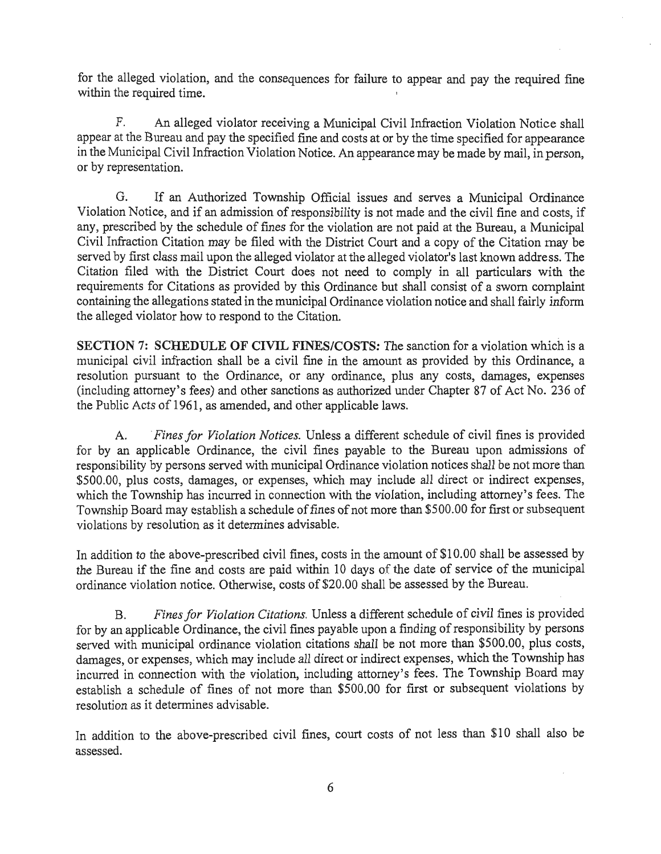for the alleged violation, and the consequences for failure to appear and pay the required fine within the required time.

F. An alleged violator receiving a Municipal Civil Infraction Violation Notice shall appear at the Bureau and pay the specified fine and costs at or by the time specified for appearance in the Municipal Civil Infraction Violation Notice. An appearance may be made by mail, in person, or by representation.

G. If an Authorized Township Official issues and serves a Municipal Ordinance Violation Notice, and if an admission of responsibility is not made and the civil fine and costs, if any, prescribed by the schedule of fines for the violation are not paid at the Bureau, a Municipal Civil Infraction Citation may be filed with the District Court and a copy of the Citation may be served by first class mail upon the alleged violator at the alleged violator's last known address. The Citation filed with the District Court does not need to comply in all particulars with the requirements for Citations as provided by this Ordinance but shall consist of a sworn complaint containing the allegations stated in the municipal Ordinance violation notice and shall fairly inform the alleged violator how to respond to the Citation.

**SECTION** 7: **SCHEDULE OF CIVIL FINES/COSTS:** The sanction for a violation which is a municipal civil infraction shall be a civil fine in the amount as provided by this Ordinance, a resolution pursuant to the Ordinance, or any ordinance, plus any costs, damages, expenses (including attorney's fees) and other sanctions as authorized under Chapter 87 of Act No. 236 of the Public Acts of 1961, as amended, and other applicable laws.

A. • *Fines for Violation Notices.* Unless a different schedule of civil fines is provided for by an applicable Ordinance, the civil fines payable to the Bureau upon admissions of responsibility by persons served with municipal Ordinance violation notices shall be not more than \$500.00, plus costs, damages, or expenses, which may include all direct or indirect expenses, which the Township has incurred in connection with the violation, including attorney's fees. The Township Board may establish a schedule of fines of not more than \$500.00 for first or subsequent violations by resolution as it determines advisable.

In addition to the above-prescribed civil fines, costs in the amount of \$10.00 shall be assessed by the Bureau if the fine and costs are paid within 10 days of the date of service of the municipal ordinance violation notice. Otherwise, costs of \$20.00 shall be assessed by the Bureau.

B. *Fines for Violation Citations.* Unless a different schedule of civil fines is provided for by an applicable Ordinance, the civil fines payable upon a finding of responsibility by persons served with municipal ordinance violation citations shall be not more than \$500.00, plus costs, damages, or expenses, which may include all direct or indirect expenses, which the Township has incurred in connection with the violation, including attorney's fees. The Township Board may establish a schedule of fines of not more than \$500.00 for first or subsequent violations by resolution as it determines advisable.

In addition to the above-prescribed civil fines, court costs of not less than \$10 shall also be assessed.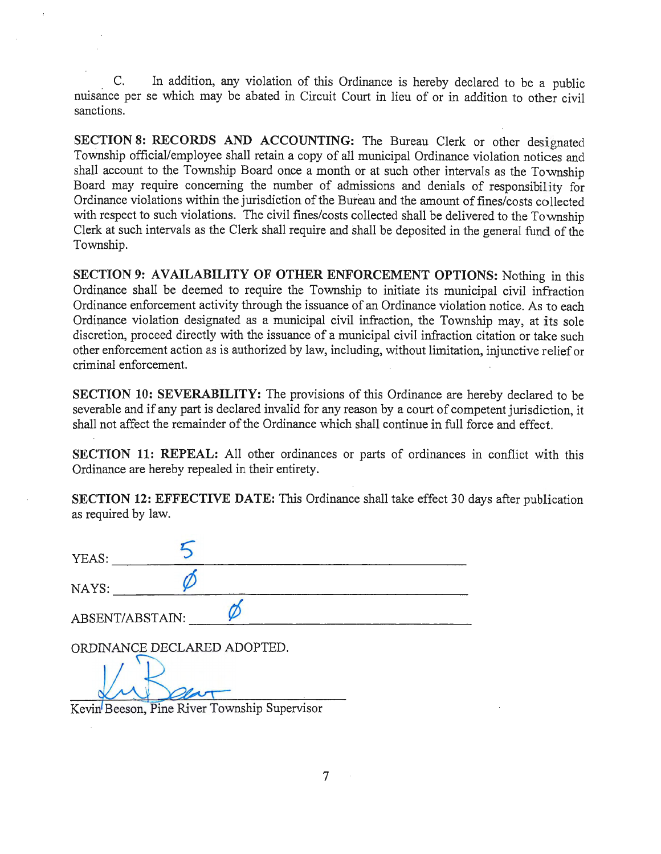C. In addition, any violation of this Ordinance is hereby declared to be a public nuisance per se which may be abated in Circuit Court in lieu of or in addition to other civil sanctions.

**SECTION 8: RECORDS AND ACCOUNTING:** The Bureau Clerk or other designated Township officiaVemployee shall retain a copy of all municipal Ordinance violation notices and shall account to the Township Board once a month or at such other intervals as the Township Board may require concerning the number of admissions and denials of responsibility for Ordinance violations within the jurisdiction of the Buteau and the amount of fines/costs collected with respect to such violations. The civil fines/costs collected shall be delivered to the Township Clerk at such intervals as the Clerk shall require and shall be deposited in the general fund of the Township.

**SECTION 9: AVAILABILITY OF OTHER ENFORCEMENT OPTIONS:** Nothing in this Ordinance shall be deemed to require the Township to initiate its municipal civil infraction Ordinance enforcement activity through the issuance of an Ordinance violation notice. As to each Ordinance violation designated as a municipal civil infraction, the Township may, at its sole discretion, proceed directly with the issuance of a municipal civil infraction citation or take such other enforcement action as is authorized by law, including, without limitation, injunctive relief or criminal enforcement.

**SECTION 10: SEVERABILITY:** The provisions of this Ordinance are hereby declared to be severable and if any part is declared invalid for any reason by a court of competent jurisdiction, it shall not affect the remainder of the Ordinance which shall continue in full force and effect.

**SECTION 11: REPEAL:** All other ordinances or parts of ordinances in conflict with this Ordinance are hereby repealed in their entirety.

**SECTION 12: EFFECTIVE DATE:** This Ordinance shall take effect 30 days after publication as required by law.

| YEAS:           |  |  |  |
|-----------------|--|--|--|
| NAYS:           |  |  |  |
| ABSENT/ABSTAIN: |  |  |  |

ORDINANCE DECLARED ADOPTED.

Kevin Beeson, Pine River Township Supervisor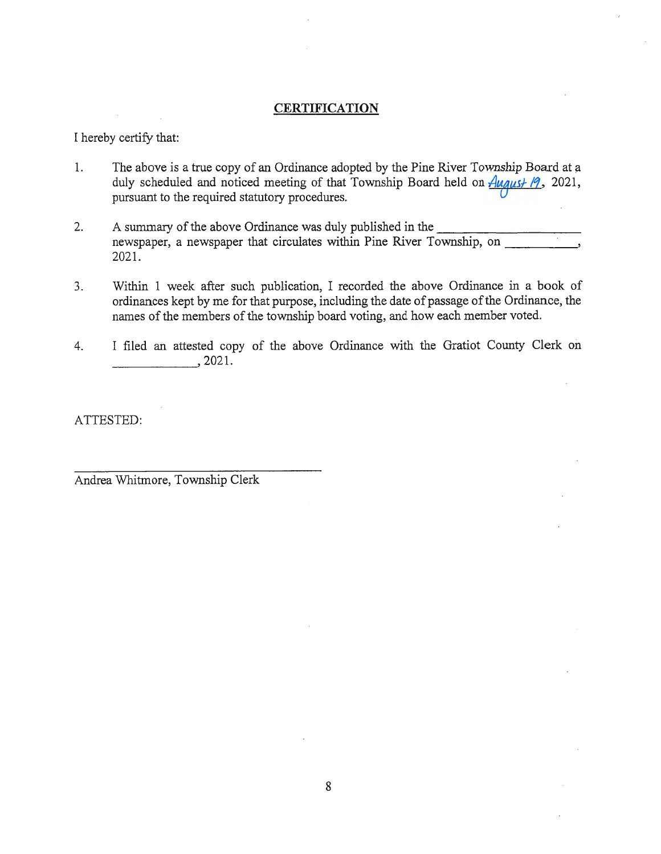#### **CERTIFICATION**

I hereby certify that:

- 1. The above is a true copy of an Ordinance adopted by the Pine River Township Board at a duly scheduled and noticed meeting of that Township Board held on *August 19*, 2021, pursuant to the required statutory procedures.
- 2. A summary of the above Ordinance was duly published in the newspaper, a newspaper that circulates within Pine River Township, on \_\_\_ 2021.
- 3. Within 1 week after such publication, I recorded the above Ordinance in a book of ordinances kept by me for that purpose, including the date of passage of the Ordinance, the names of the members of the township board voting, and how each member voted.
- 4. I filed an attested copy of the above Ordinance with the Gratiot County Clerk on  $, 2021.$

ATTESTED:

Andrea Whitmore, Township Clerk